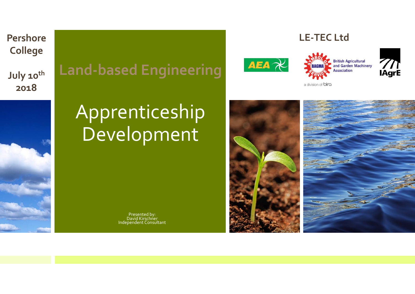**PershoreCollege July <sup>10</sup>th 2018**











a division of **birg** 

# Apprenticeship Development

Presented by: DavidDavid Kirschner Independent Consultant

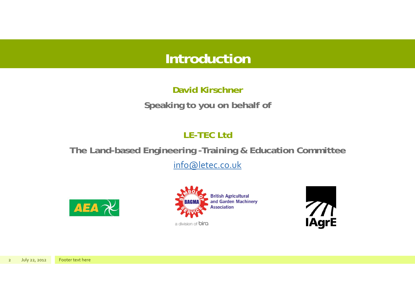## **Introduction**

#### **David KirschnerSpeaking to you on behalf of**

#### **LE-TEC Ltd**

#### **The Land-based Engineering -Training & Education Committee**

info@letec.co.uk







2July 22, <sup>2012</sup> Footer text here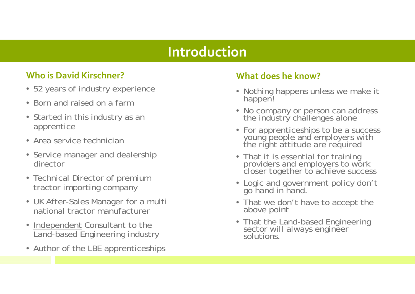#### **Introduction**

#### **Who is David Kirschner? What**

- 52 years of industry experience
- Born and raised on a farm
- Started in this industry as an apprentice
- Area service technician
- Service manager and dealership director
- Technical Director of premium tractor importing company
- UK After-Sales Manager for a multi national tractor manufacturer
- Independent Consultant to the Land-based Engineering industry
- Author of the LBE apprenticeships

#### **does he know?**

- Nothing happens unless we make it happen!
- No company or person can address the industry challenges alone
- For apprenticeships to be a success young people and employers with the right attitude are required
- That it is essential for training providers and employers to work closer together to achieve success
- Logic and government policy don't go hand in hand.
- That we don't have to accept the above point
- That the Land-based Engineering sector will always engineer solutions.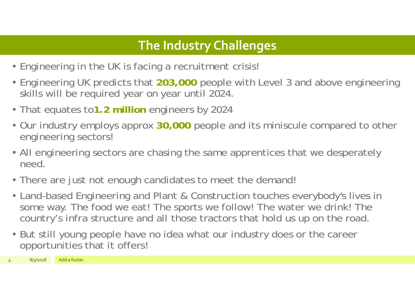### **The Industry Challenges**

- Engineering in the UK is facing a recruitment crisis!
- Engineering UK predicts that **203,000** people with Level 3 and above engineering skills will be required year on year until 2024.
- That equates to**1.2 million** engineers by 2024
- Our industry employs approx **30,000** people and its miniscule compared to other engineering sectors!
- All engineering sectors are chasing the same apprentices that we desperately need.
- There are just not enough candidates to meet the demand!
- Land-based Engineering and Plant & Construction touches everybody's lives in some way. The food we eat! The sports we follow! The water we drink! The country's infra structure and all those tractors that hold us up on the road.
- But still young people have no idea what our industry does or the career opportunities that it offers!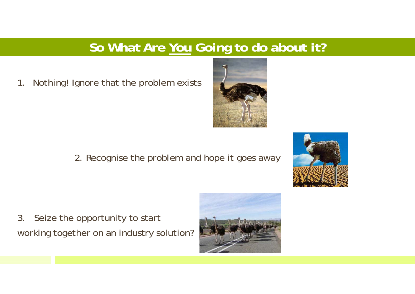#### **So What Are You Going to do about it?**

1. Nothing! Ignore that the problem exists

2. Recognise the problem and hope it goes away

3. Seize the opportunity to start working together on an industry solution?





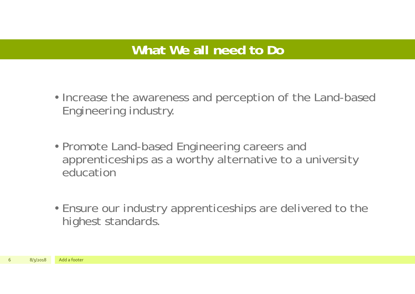#### **What We all need to Do**

- Increase the awareness and perception of the Land-based Engineering industry.
- Promote Land-based Engineering careers and apprenticeships as a worthy alternative to a university education
- Ensure our industry apprenticeships are delivered to the highest standards.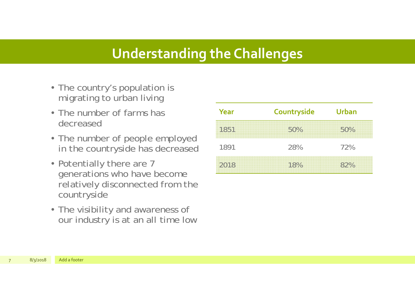#### **Understanding the Challenges**

- The country's population is migrating to urban living
- The number of farms has decreased
- The number of people employed in the countryside has decreased
- Potentially there are 7 generations who have become relatively disconnected from the countryside
- The visibility and awareness of our industry is at an all time low

| Year | Countryside | <b>Urban</b> |
|------|-------------|--------------|
| 1851 | 50%         | 50%          |
| 1891 | 28%         | 72%          |
| 2018 | 18%         | 82%          |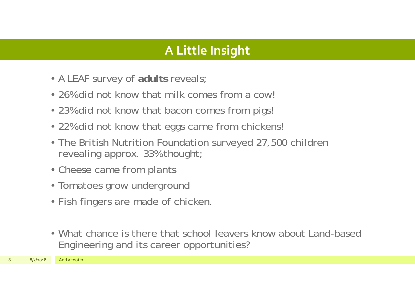#### **A Little Insight**

- A LEAF survey of **adults** reveals;
- 26% did not know that milk comes from a cow
- 23% did not know that bacon comes from pigs
- 22% did not know that eggs came from chickens!
- The British Nutrition Foundation surveyed 27,500 children revealing approx. 33% thought;
- Cheese came from plants
- Tomatoes grow underground
- Fish fingers are made of chicken.
- What chance is there that school leavers know about Land-based Engineering and its career opportunities?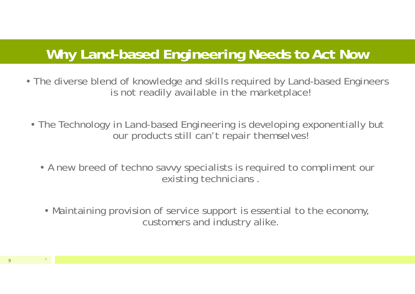### **Why Land-based Engineering Needs to Act Now**

- The diverse blend of knowledge and skills required by Land-based Engineers is not readily available in the marketplace!
	- The Technology in Land-based Engineering is developing exponentially but our products still can't repair themselves!
		- A new breed of techno savvy specialists is required to compliment our existing technicians .
		- Maintaining provision of service support is essential to the economy, customers and industry alike.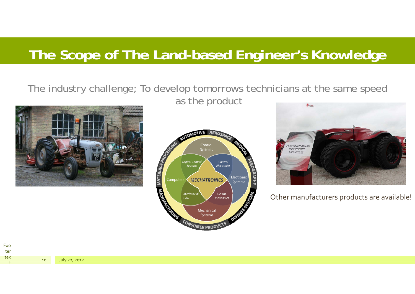## **The Scope of The Land-based Engineer's Knowledge**

## The industry challenge; To develop tomorrows technicians at the same speed



as the product





Other manufacturers products are available!

Foo tertex tt 10

July 22, <sup>2012</sup>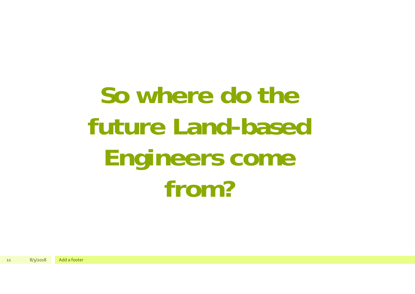**So where do the future Land-based Engineers come from?**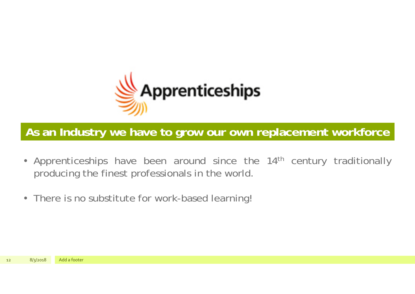

**As an Industry we have to grow our own replacement workforce**

- •Apprenticeships have been around since the 14<sup>th</sup> century traditionally producing the finest professionals in the world.
- There is no substitute for work-based learning!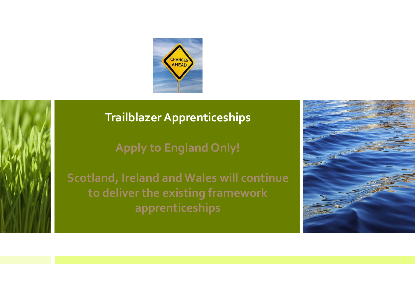



#### **TrailblazerApprenticeships**

**Apply to England Only!**

**Scotland, Ireland andWales will continue to deliver the existing framework apprenticeships**

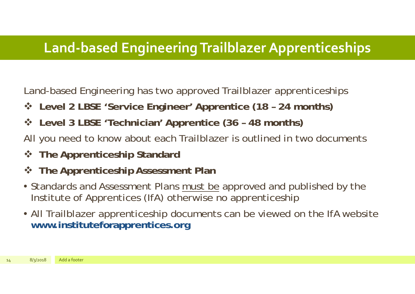### **Land‐based EngineeringTrailblazerApprenticeships**

Land-based Engineering has two approved Trailblazer apprenticeships

- **Level 2 LBSE 'Service Engineer' Apprentice (18 – 24 months)**
- **Level 3 LBSE 'Technician' Apprentice (36 – 48 months)**
- All you need to know about each Trailblazer is outlined in two documents
- **The Apprenticeship Standard**
- $\frac{1}{2}$ **The Apprenticeship Assessment Plan**
- Standards and Assessment Plans must be approved and published by the Institute of Apprentices (IfA) otherwise no apprenticeship
- All Trailblazer apprenticeship documents can be viewed on the IfA website **www.instituteforapprentices.org**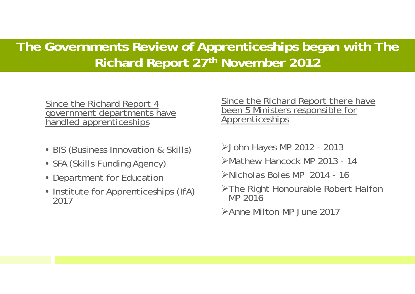#### **The Governments Review of Apprenticeships began with The Richard Report 27th November 2012**

#### Since the Richard Report 4 government departments have handled apprenticeships

- BIS (Business Innovation & Skills)
- SFA (Skills Funding Agency)
- Department for Educatior
- Institute for Apprenticeships (IfA) 2017

#### Since the Richard Report there have been 5 Ministers responsible for Apprenticeships

- John Hayes MP 2012 2013
- Mathew Hancock MP 2013 14
- Nicholas Boles MP 2014 16
- The Right Honourable Robert Halfon MP 2016
- Anne Milton MP June 2017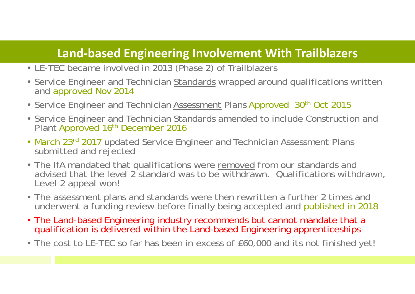#### **Land‐based Engineering Involvement With Trailblazers**

- LE-TEC became involved in 2013 (Phase 2) of Trailblazers
- Service Engineer and Technician <u>Standards</u> wrapped around qualifications written and approved Nov 2014
- Service Engineer and Technician <u>Assessment</u> Plans Approved 30<sup>th</sup> Oct 2015
- Service Engineer and Technician Standards amended to include Construction and Plant Approved 16<sup>th</sup> December 2016
- March 23<sup>rd</sup> 2017 updated Service Engineer and Technician Assessment Plans submitted and rejected
- The IfA mandated that qualifications were **removed** from our standards and advised that the level 2 standard was to be withdrawn. Qualifications withdrawn, Level 2 appeal won!
- The assessment plans and standards were then rewritten a further 2 times and underwent a funding review before finally being accepted and published in 2018
- The Land-based Engineering industry recommends but cannot mandate that a qualification is delivered within the Land-based Engineering apprenticeships
- The cost to LE-TEC so far has been in excess of £60,000 and its not finished yet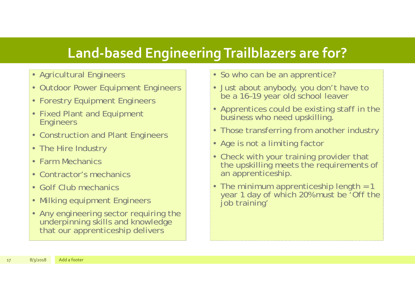### **Land‐based EngineeringTrailblazers are for?**

- Agricultural Engineers
- Outdoor Power Equipment Engineers
- Forestry Equipment Engineers
- Fixed Plant and Equipment **Engineers**
- Construction and Plant Engineers
- The Hire Industry
- Farm Mechanics
- Contractor's mechanics
- Golf Club mechanics
- Milking equipment Engineers
- Any engineering sector requiring the underpinning skills and knowledge that our apprenticeship delivers
- So who can be an apprentice?
- Just about anybody, you don't have to be a 16–19 year old school leaver
- Apprentices could be existing staff in the business who need upskilling.
- Those transferring from another industry
- Age is not a limiting factor
- Check with your training provider that the upskilling meets the requirements of an apprenticeship.
- The minimum apprenticeship length = 1 year 1 day of which 20% must be 'Off the job training'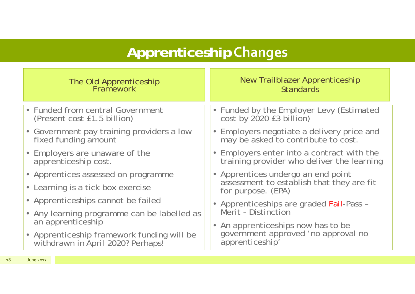## **Apprenticeship Changes**

| The Old Apprenticeship<br>Framework                                             | New Trailblazer Apprenticeship<br><b>Standards</b>                              |  |  |  |  |  |
|---------------------------------------------------------------------------------|---------------------------------------------------------------------------------|--|--|--|--|--|
| • Funded from central Government<br>(Present cost £1.5 billion)                 | • Funded by the Employer Levy (Estimated cost by 2020 £3 billion)               |  |  |  |  |  |
| • Government pay training providers a low                                       | • Employers negotiate a delivery price and                                      |  |  |  |  |  |
| fixed funding amount                                                            | may be asked to contribute to cost.                                             |  |  |  |  |  |
| • Employers are unaware of the                                                  | • Employers enter into a contract with the                                      |  |  |  |  |  |
| apprenticeship cost.                                                            | training provider who deliver the learning                                      |  |  |  |  |  |
| • Apprentices assessed on programme                                             | • Apprentices undergo an end point<br>assessment to establish that they are fit |  |  |  |  |  |
| • Learning is a tick box exercise                                               | for purpose. (EPA)                                                              |  |  |  |  |  |
| • Apprenticeships cannot be failed                                              | • Apprenticeships are graded Fail-Pass -                                        |  |  |  |  |  |
| • Any learning programme can be labelled as                                     | Merit - Distinction                                                             |  |  |  |  |  |
| an apprenticeship                                                               | • An apprenticeships now has to be                                              |  |  |  |  |  |
| • Apprenticeship framework funding will be<br>withdrawn in April 2020? Perhaps! | government approved 'no approval no<br>apprenticeship'                          |  |  |  |  |  |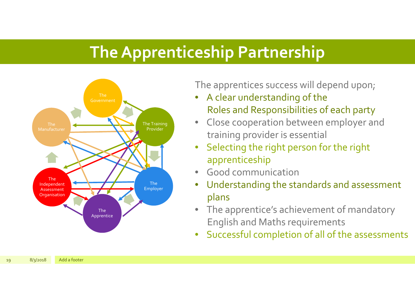## **TheApprenticeship Partnership**



The apprentices success will depend upon;

- • A clear understanding of the Roles and Responsibilities of each party
- $\bullet$  Close cooperation between employer and training provider is essential
- • Selecting the right person for the right apprenticeship
- Good communication
- • Understanding the standards and assessment plans
- • The apprentice's achievement of mandatory English and Maths requirements
- •Successful completion of all of the assessments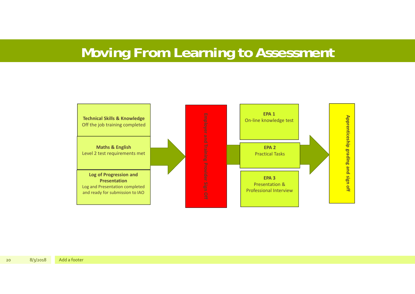### **Moving From Learning to Assessment**

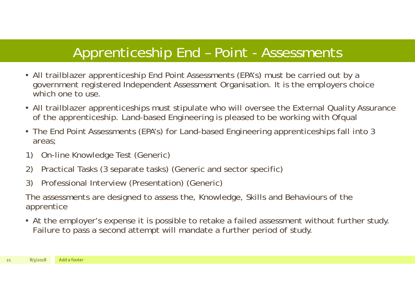### Apprenticeship End – Point - Assessments

- All trailblazer apprenticeship End Point Assessments (EPA's) must be carried out by a government registered Independent Assessment Organisation. It is the employers choice which one to use.
- All trailblazer apprenticeships must stipulate who will oversee the External Quality Assurance of the apprenticeship. Land-based Engineering is pleased to be working with Ofqual
- The End Point Assessments (EPA's) for Land-based Engineering apprenticeships fall into 3 areas;
- 1) On-line Knowledge Test (Generic)
- 2) Practical Tasks (3 separate tasks) (Generic and sector specific)
- 3) Professional Interview (Presentation) (Generic)

The assessments are designed to assess the, Knowledge, Skills and Behaviours of the apprentice

• At the employer's expense it is possible to retake a failed assessment without further study. Failure to pass a second attempt will mandate a further period of study.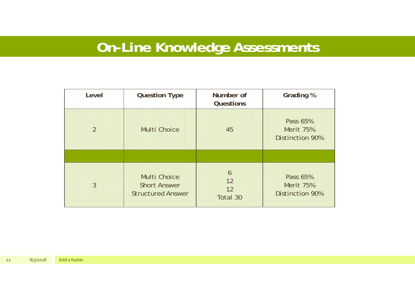## **On-Line Knowledge Assessments**

| Level         | <b>Question Type</b>                                                   | Number of<br><b>Questions</b> | <b>Grading %</b>                                       |
|---------------|------------------------------------------------------------------------|-------------------------------|--------------------------------------------------------|
| $\mathcal{P}$ | <b>Multi Choice</b>                                                    | 45                            | Pass 65%<br><b>Merit 75%</b><br><b>Distinction 90%</b> |
| 3             | <b>Multi Choice</b><br><b>Short Answer</b><br><b>Structured Answer</b> | 6<br>12<br>12<br>Total 30     | Pass 65%<br><b>Merit 75%</b><br><b>Distinction 90%</b> |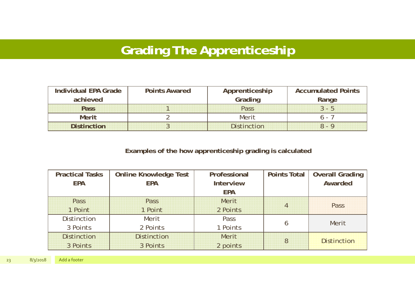### **Grading The Apprenticeship**

| Individual EPA Grade | <b>Points Awared</b> | Apprenticeship     | <b>Accumulated Points</b> |
|----------------------|----------------------|--------------------|---------------------------|
| achieved             |                      | Grading            | Range                     |
| Pass                 |                      | Pass               | $3 - h$                   |
| <b>Merit</b>         |                      | Merit              |                           |
| <b>Distinction</b>   |                      | <b>Distinction</b> |                           |

#### **Examples of the how apprenticeship grading is calculated**

| <b>Practical Tasks</b> | <b>Online Knowledge Test</b> | Professional     |                | Points Total   Overall Grading |  |  |
|------------------------|------------------------------|------------------|----------------|--------------------------------|--|--|
| <b>EPA</b>             | <b>EPA</b>                   | <b>Interview</b> |                | Awarded                        |  |  |
|                        |                              | <b>EPA</b>       |                |                                |  |  |
| Pass                   | Pass                         | Merit            | $\overline{4}$ | Pass                           |  |  |
| 1 Point                | 1 Point                      | 2 Points         |                |                                |  |  |
| <b>Distinction</b>     | Merit                        | Pass             |                | Merit                          |  |  |
| 3 Points               | 2 Points                     | 1 Points         |                |                                |  |  |
| <b>Distinction</b>     | <b>Distinction</b>           | <b>Merit</b>     | 8              | <b>Distinction</b>             |  |  |
| 3 Points               | 3 Points                     | 2 points         |                |                                |  |  |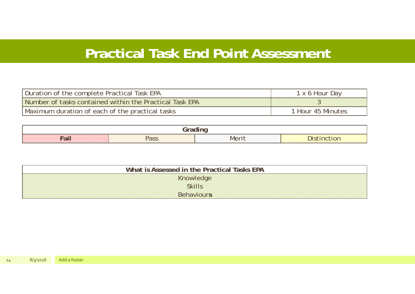#### **Practical Task End Point Assessment**

| Duration of the complete Practical Task EPA             | Dav<br>1 x 6 Hour            |
|---------------------------------------------------------|------------------------------|
| Number of tasks contained within the Practical Task EPA |                              |
| Maximum duration of each of the practical tasks         | <sup>1</sup> Hour 45 Minutes |

| <b>WINDOWSHIP WAS ARRESTED FOR THE UPPER</b><br>*******************************<br><b>Service</b><br>**********************************<br><br>.<br>00KXXX33000KXXX33000KXXXX | ********************************<br><b>c</b> D | <b>IVIA</b> <sup>r</sup> |  |
|-------------------------------------------------------------------------------------------------------------------------------------------------------------------------------|------------------------------------------------|--------------------------|--|

| Assessed in the Practical Tasks EPA<br>ÎС.                                                |                          |  |  |  |  |  |  |
|-------------------------------------------------------------------------------------------|--------------------------|--|--|--|--|--|--|
| $\overline{\phantom{a}}$                                                                  |                          |  |  |  |  |  |  |
| THE R. P. LEWIS CO., LANSING.<br><b><i><u>ALLE DE LES DE</u></i></b><br>.<br><b></b><br>. |                          |  |  |  |  |  |  |
| $\sim$<br>.<br>,,,,,,,,,,,,,,,,,,,,,,<br>***************                                  | <b>STATE OF STATE OR</b> |  |  |  |  |  |  |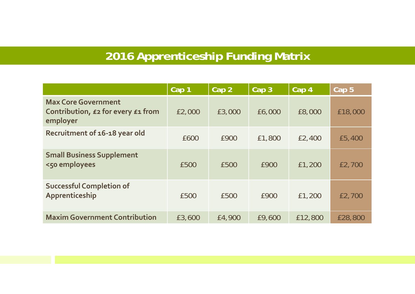### **2016 Apprenticeship Funding Matrix**

|                                                                              | Cap 1  | Cap <sub>2</sub> | Cap 3  | Cap 4   | Cap <sub>5</sub> |
|------------------------------------------------------------------------------|--------|------------------|--------|---------|------------------|
| <b>Max Core Government</b><br>Contribution, £2 for every £1 from<br>employer | £2,000 | £3,000           | £6,000 | £8,000  | £18,000          |
| Recruitment of 16-18 year old                                                | £600   | £900             | £1,800 | £2,400  | £5,400           |
| <b>Small Business Supplement</b><br><50 employees                            | £500   | £500             | £900   | £1,200  | £2,700           |
| <b>Successful Completion of</b><br>Apprenticeship                            | £500   | £500             | £900   | £1,200  | £2,700           |
| <b>Maxim Government Contribution</b>                                         | £3,600 | £4,900           | £9,600 | £12,800 | £28,800          |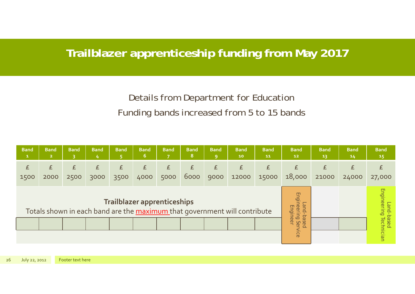#### **Trailblazer apprenticeship funding from May 2017**

#### Details from Department for Education Funding bands increased from 5 to 15 bands

| <b>Band</b><br>$\mathbf{1}$ | <b>Band</b><br>$\overline{2}$ | <b>Band</b> | <b>Band</b> | <b>Band</b> | <b>Band</b><br>6 | <b>Band</b>                        | Band<br>8 | <b>Band</b><br>$\overline{9}$ | <b>Band</b><br>10                                                         | <b>Band</b><br>11 | <b>Band</b><br>12                                       | Band<br>13 | <b>Band</b><br>14 | <b>Band</b><br>15                                        |
|-----------------------------|-------------------------------|-------------|-------------|-------------|------------------|------------------------------------|-----------|-------------------------------|---------------------------------------------------------------------------|-------------------|---------------------------------------------------------|------------|-------------------|----------------------------------------------------------|
| £<br>1500                   | £<br>2000                     | £<br>2500   | £<br>3000   | E<br>3500   | £<br>4000        | £<br>5000                          | £<br>6000 | £<br>9000                     | £<br>12000                                                                | £<br>15000        | f<br>18,000                                             | £<br>21000 | £<br>24000        | £<br>27,000                                              |
|                             |                               |             |             |             |                  | <b>Trailblazer apprenticeships</b> |           |                               | Totals shown in each band are the maximum that government will contribute |                   | Engineering<br>pue<br>Engineer<br>based-<br>Ser<br>vice |            |                   | Engineering<br> -pue <sup>-</sup><br>based<br>Technician |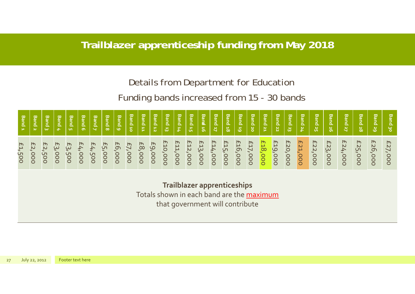#### **Trailblazer apprenticeship funding from May 2018**

#### Details from Department for Education

#### Funding bands increased from 15 - 30 bands

| <b>Band</b>  | <b>Band</b>  | Band   | <b>Band</b> | <b>Band</b> | <b>Band</b>   | Band                     | <b>Band</b> | <b>Band</b> | Band           | Band   | <b>Band</b> | <b>Band</b> | <b>Band</b> | Band    | <b>Banz</b> | Band    | <b>Band</b>    | <b>Band</b> | <b>Band</b>             | <b>Band</b>    | <b>Band</b> | <b>Band</b> | <b>Band</b> | <b>Band</b> | Band          | <b>Band</b> | <b>Band</b>    | Band    | <b>Band</b> |
|--------------|--------------|--------|-------------|-------------|---------------|--------------------------|-------------|-------------|----------------|--------|-------------|-------------|-------------|---------|-------------|---------|----------------|-------------|-------------------------|----------------|-------------|-------------|-------------|-------------|---------------|-------------|----------------|---------|-------------|
| $\mathbf{P}$ | $\mathbf{N}$ | ω      | بجيد ا      | <b>un</b>   | ന             | $\overline{\phantom{0}}$ | $\infty$    | Ğ.          | $\overline{5}$ | 旨      | 12          | 品           | /F)         | 5F      | 19          | L.      | $\overline{8}$ | 55          | $\overline{\mathbf{c}}$ | $\overline{2}$ | ់ដ          | 'ಜ          | 24          | 25          | $\frac{2}{5}$ | 2           | $\frac{28}{8}$ | 29      | ပ္စ         |
| £1,500       | £2,000       | £2,500 | £3,000      | £3,500      | <b>E4,000</b> | £4,500                   | £5,000      | £6,000      | £7,000         | £8,000 | £9,000      | £10,000     | E11,000     | £12,000 | £13,000     | £14,000 | £15,000        | £16,000     | E17,000                 | £18,000        | £19,000     | £20,000     | £21,000     | £22,000     | £23,000       | £24,000     | £25,000        | £26,000 | £27<br>000' |

**Trailblazer apprenticeships** Totals shown in each band are the maximum that governmen<sup>t</sup> will contribute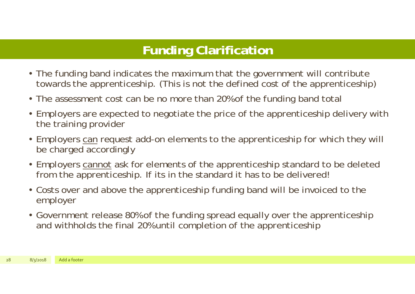#### **Funding Clarification**

- The funding band indicates the maximum that the government will contribute towards the apprenticeship. (This is not the defined cost of the apprenticeship)
- The assessment cost can be no more than 20% of the funding band total
- Employers are expected to negotiate the price of the apprenticeship delivery with the training provider
- Employers can request add-on elements to the apprenticeship for which they will be charged accordingly
- Employers cannot ask for elements of the apprenticeship standard to be deleted from the apprenticeship. If its in the standard it has to be delivered!
- Costs over and above the apprenticeship funding band will be invoiced to the employer
- Government release 80% of the funding spread equally over the apprenticeship and withholds the final 20% until completion of the apprenticeship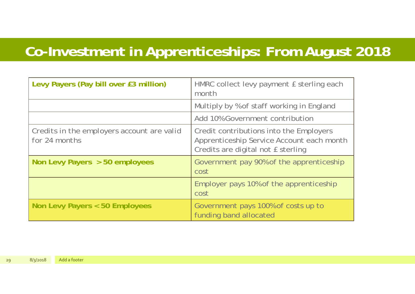## **Co-Investment in Apprenticeships: From August 2018**

| Levy Payers (Pay bill over £3 million)                      | HMRC collect levy payment £ sterling each<br>month                                                                         |
|-------------------------------------------------------------|----------------------------------------------------------------------------------------------------------------------------|
|                                                             | Multiply by % of staff working in England                                                                                  |
|                                                             | Add 10% Government contribution                                                                                            |
| Credits in the employers account are valid<br>for 24 months | Credit contributions into the Employers<br>Apprenticeship Service Account each month<br>Credits are digital not E sterling |
| Non Levy Payers $> 50$ employees                            | Government pay 90% of the apprenticeship<br>cost                                                                           |
|                                                             | Employer pays 10% of the apprenticeship<br>cost                                                                            |
| Non Levy Payers < 50 Employees                              | Government pays 100% of costs up to<br>funding band allocated                                                              |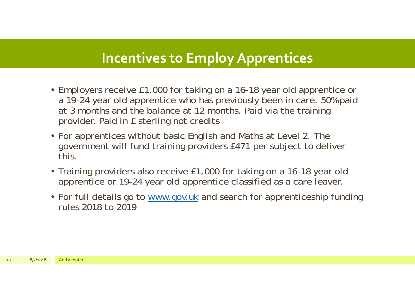#### **Incentives to Employ Apprentices**

- Employers receive £1,000 for taking on a 16-18 year old apprentice or a 19-24 year old apprentice who has previously been in care. 50% paid at 3 months and the balance at 12 months. Paid via the training provider. Paid in £ sterling not credits
- For apprentices without basic English and Maths at Level 2. The government will fund training providers £471 per subject to deliver this.
- Training providers also receive £1,000 for taking on a 16-18 year old apprentice or 19-24 year old apprentice classified as a care leaver.
- For full details go to www.gov.uk and search for apprenticeship funding rules 2018 to 2019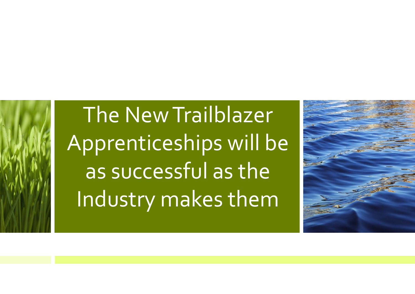The New Trailblazer Apprenticeships will be as successful as the Industry makes them